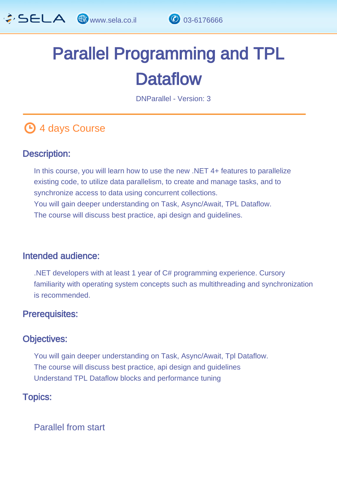

# Parallel Programming and TPL **Dataflow**

DNParallel - Version: 3

### **4 days Course**

#### Description: Ĩ

In this course, you will learn how to use the new .NET 4+ features to parallelize existing code, to utilize data parallelism, to create and manage tasks, and to synchronize access to data using concurrent collections. You will gain deeper understanding on Task, Async/Await, TPL Dataflow. The course will discuss best practice, api design and guidelines.

#### Intended audience: ľ

.NET developers with at least 1 year of C# programming experience. Cursory familiarity with operating system concepts such as multithreading and synchronization is recommended.

#### Prerequisites: L,

#### Objectives: Ĭ

You will gain deeper understanding on Task, Async/Await, Tpl Dataflow. The course will discuss best practice, api design and guidelines Understand TPL Dataflow blocks and performance tuning

#### Topics: J.

Parallel from start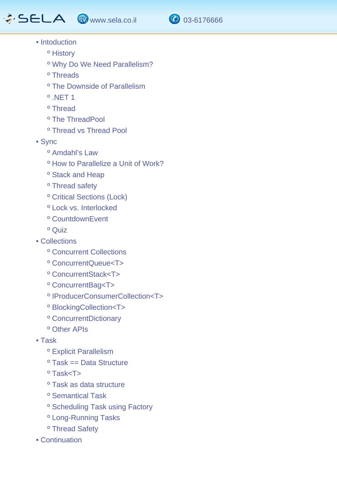## GSELA **G** www.sela.co.il **0** 03-6176666



- Intoduction
	- º History
	- º Why Do We Need Parallelism?
	- º Threads
	- º The Downside of Parallelism
	- $O$  NFT 1
	- º Thread
	- º The ThreadPool
	- º Thread vs Thread Pool
- Sync
	- º Amdahl's Law
	- º How to Parallelize a Unit of Work?
	- º Stack and Heap
	- º Thread safety
	- º Critical Sections (Lock)
	- º Lock vs. Interlocked
	- º CountdownEvent
	- º Quiz
- Collections
	- º Concurrent Collections
	- º ConcurrentQueue<T>
	- º ConcurrentStack<T>
	- º ConcurrentBag<T>
	- º IProducerConsumerCollection<T>
	- º BlockingCollection<T>
	- º ConcurrentDictionary
	- º Other APIs
- Task
	- º Explicit Parallelism
	- º Task == Data Structure
	- º Task<T>
	- º Task as data structure
	- º Semantical Task
	- º Scheduling Task using Factory
	- º Long-Running Tasks
	- º Thread Safety
- Continuation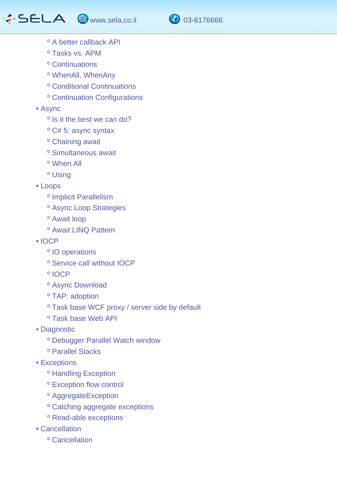

- º A better callback API
- º Tasks vs. APM
- º Continuations
- º WhenAll, WhenAny
- º Conditional Continuations
- º Continuation Configurations
- Async
	- º Is it the best we can do?
	- º C# 5: async syntax
	- º Chaining await
	- º Simultaneous await
	- º When All
	- º Using
- Loops
	- º Implicit Parallelism
	- º Async Loop Strategies
	- º Await loop
	- º Await LINQ Pattern
- IOCP
	- º IO operations
	- º Service call without IOCP
	- º IOCP
	- º Async Download
	- º TAP: adoption
	- º Task base WCF proxy / server side by default
	- º Task base Web API
- Diagnostic
	- º Debugger Parallel Watch window
	- º Parallel Stacks
- Exceptions
	- º Handling Exception
	- º Exception flow control
	- º AggregateException
	- º Catching aggregate exceptions
	- º Read-able exceptions
- Cancellation
	- º Cancellation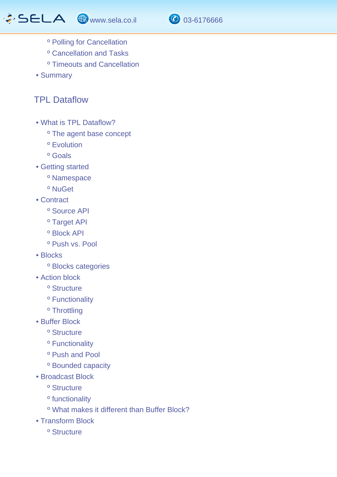GSELA G www.sela.co.il 0 03-6176666



- º Polling for Cancellation
- º Cancellation and Tasks
- º Timeouts and Cancellation
- Summary

### TPL Dataflow

- What is TPL Dataflow?
	- º The agent base concept
	- º Evolution
	- º Goals
- Getting started
	- º Namespace
	- º NuGet
- Contract
	- º Source API
	- º Target API
	- º Block API
	- º Push vs. Pool
- Blocks
	- º Blocks categories
- Action block
	- º Structure
	- º Functionality
	- º Throttling
- Buffer Block
	- º Structure
	- º Functionality
	- º Push and Pool
	- º Bounded capacity
- Broadcast Block
	- º Structure
	- º functionality
	- º What makes it different than Buffer Block?
- Transform Block
	- º Structure